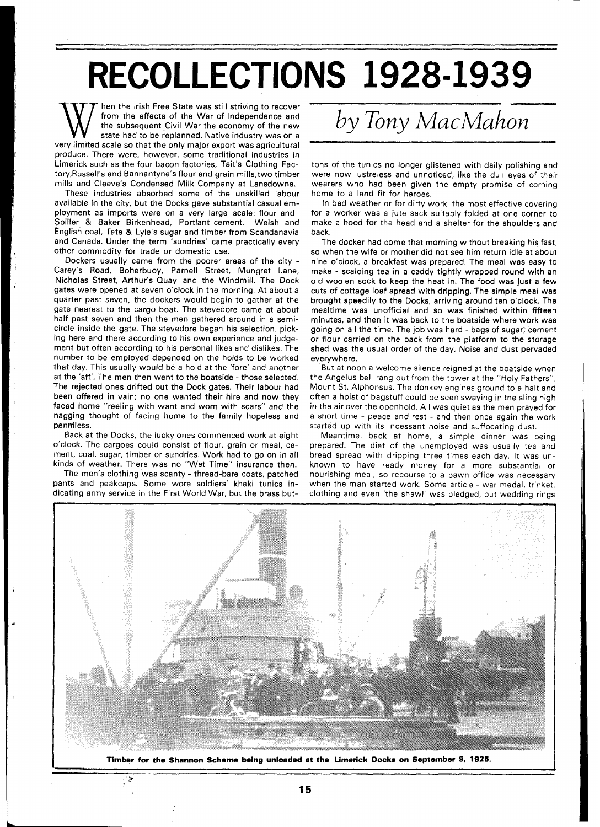## **RECOLLECTIONS 1928-1939**

hen the Irish Free State was still striving to recover from the effects of the War of Independence and the subsequent Civil War the economy of the new state had to be replanned. Native industry was on a very limited scale so that the only major export was agricultural produce. There were, however, some traditional industries in Limerick such as the four bacon factories, Tait's Clothing Factory,Russell's and Bannantyne's flour and grain mills,two timber mills and Cleeve's Condensed Milk Company at Lansdowne.

These industries absorbed some of the unskilled labour available in the city, but the Docks gave substantial casual employment as imports were on a very large scale: flour and Spiller & Baker Birkenhead, Portlant cement, Welsh and English coal, Tate & Lyle's sugar and timber from Scandanavia and Canada. Under the term 'sundries' came practically every other commodity for trade or domestic use.

Dockers usually came from the poorer areas of the city - Carey's Road, Boherbuoy, Parnell Street, Mungret Lane, Nicholas Street, Arthur's Quay and the Windmill. The Dock gates were opened at seven o'clock in the morning. At about a quarter past seven, the dockers would begin to gather at the gate nearest to the cargo boat. The stevedore came at about half past seven and then the men gathered around in a semicircle inside the gate. The stevedore began his selection, picking here and there according to his own experience and judgement but often according to his personal likes and dislikes. The number to be employed depended on the holds to be worked that day. This usually would be a hold at the 'fore' and another at the 'aft'. The men then went to the boatside - those selected. The rejected ones drifted out the Dock gates. Their labour had been offered in vain; no one wanted their hire and now they faced home "reeling with want and worn with scars" and the nagging thought of facing home to the family hopeless and penmiless.

Back at the Docks, the lucky ones commenced work at eight o'clock. The cargoes could consist of flour, grain or meal, cement, coal, sugar, timber or sundries. Work had to go on in all kinds of weather. There was no "Wet Time" insurance then.

The men's clothing was scanty - thread-bare coats, patched pants and peakcaps. Some wore soldiers' khaki tunics indicating army service in the First World War, but the brass but-

نعل:

## *by Tony MacMahon*

tons of the tunics no longer glistened with daily polishing and were now lustreless and unnoticed, like the dull eyes of their wearers who had been given the empty promise of coming home to a land fit for heroes.

In bad weather or for dirty work the most effective covering for a worker was a jute sack suitably folded at one corner to make a hood for the head and a shelter for the shoulders and back.

The docker had come that morning without breaking his fast, so when the wife or mother did not see him return idle at about nine o'clock, a breakfast was prepared. The meal was easy to make - scalding tea in a caddy tightly wrapped round with an old woolen sock to keep the heat in. The food was just a few cuts of cottage loaf spread with dripping. The simple meal was brought speedily to the Docks, arriving around ten o'clock. The mealtime was unofficial and so was finished within fifteen minutes, and then it was back to the boatside where work was going on all the time. The job was hard - bags of sugar, cement or flour carried on the back from the platform to the storage shed was the usual order of the day. Noise and dust pervaded everywhere.

But at noon a welcome silence reigned at the boatside when the Angelus bell rang out from the tower at the "Holy Fathers", Mount St. Alphonsus. The donkey engines ground to a halt and often a hoist of bagstuff could be seen swaying in the sling high in the air over the openhold. All was quiet as the men prayed for a short time - peace and rest - and then once again the work started up with its incessant noise and suffocating dust.

Meantime, back at home, a simple dinner was being prepared. The diet of the unemployed was usually tea and bread spread with dripping three times each day. It was unknown to have ready money for a more substantial or nourishing meal, so recourse to a pawn office was necessary when the man started work. Some article - war medal, trinket, clothing and even 'the shawl' was pledged, but wedding rings



**Timber for the Shannon Scheme being unloaded at the Limerick Docks on September 9, 1915.**